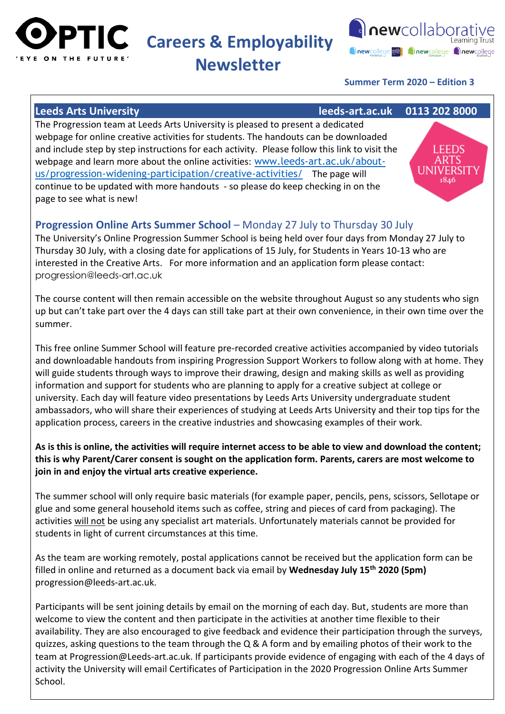

**PTIC** Careers & Employability

# **Newsletter**



## **Summer Term 2020 – Edition 3**

### **Leeds Arts University leeds-art.ac.uk 0113 202 8000**

The Progression team at Leeds Arts University is pleased to present a dedicated webpage for online creative activities for students. The handouts can be downloaded and include step by step instructions for each activity. Please follow this link to visit the webpage and learn more about the online activities: [www.leeds-art.ac.uk/about](https://www.leeds-art.ac.uk/about-us/progression-widening-participation/creative-activities/)[us/progression-widening-participation/creative-activities/](https://www.leeds-art.ac.uk/about-us/progression-widening-participation/creative-activities/) The page will continue to be updated with more handouts - so please do keep checking in on the page to see what is new!



### **Progression Online Arts Summer School** – Monday 27 July to Thursday 30 July

The University's Online Progression Summer School is being held over four days from Monday 27 July to Thursday 30 July, with a closing date for applications of 15 July, for Students in Years 10-13 who are interested in the Creative Arts. For more information and an application form please contact: progression@leeds-art.ac.uk

The course content will then remain accessible on the website throughout August so any students who sign up but can't take part over the 4 days can still take part at their own convenience, in their own time over the summer.

This free online Summer School will feature pre-recorded creative activities accompanied by video tutorials and downloadable handouts from inspiring Progression Support Workers to follow along with at home. They will guide students through ways to improve their drawing, design and making skills as well as providing information and support for students who are planning to apply for a creative subject at college or university. Each day will feature video presentations by Leeds Arts University undergraduate student ambassadors, who will share their experiences of studying at Leeds Arts University and their top tips for the application process, careers in the creative industries and showcasing examples of their work.

### **As is this is online, the activities will require internet access to be able to view and download the content; this is why Parent/Carer consent is sought on the application form. Parents, carers are most welcome to join in and enjoy the virtual arts creative experience.**

The summer school will only require basic materials (for example paper, pencils, pens, scissors, Sellotape or glue and some general household items such as coffee, string and pieces of card from packaging). The activities will not be using any specialist art materials. Unfortunately materials cannot be provided for students in light of current circumstances at this time.

As the team are working remotely, postal applications cannot be received but the application form can be filled in online and returned as a document back via email by **Wednesday July 15th 2020 (5pm)** progression@leeds-art.ac.uk.

Participants will be sent joining details by email on the morning of each day. But, students are more than welcome to view the content and then participate in the activities at another time flexible to their availability. They are also encouraged to give feedback and evidence their participation through the surveys, quizzes, asking questions to the team through the Q & A form and by emailing photos of their work to the team at Progression@Leeds-art.ac.uk. If participants provide evidence of engaging with each of the 4 days of activity the University will email Certificates of Participation in the 2020 Progression Online Arts Summer School.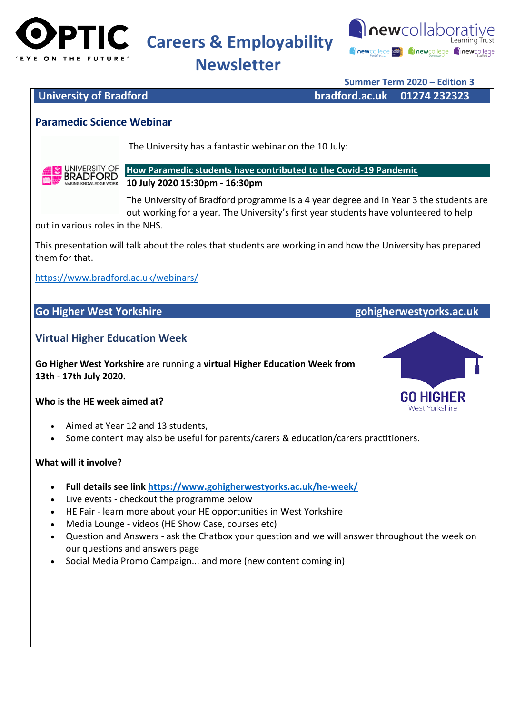

**Careers & Employability** 



# **Newsletter**

**Summer Term 2020 – Edition 3**

**University of Bradford bradford.ac.uk 01274 232323**

## **Paramedic Science Webinar**

The University has a fantastic webinar on the 10 July:



**[How Paramedic students have contributed to the Covid-19 Pandemic](https://attendee.gotowebinar.com/register/7068190016400067854) 10 July 2020 15:30pm - 16:30pm**

The University of Bradford programme is a 4 year degree and in Year 3 the students are out working for a year. The University's first year students have volunteered to help

out in various roles in the NHS.

This presentation will talk about the roles that students are working in and how the University has prepared them for that.

<https://www.bradford.ac.uk/webinars/>

### **Go Higher West Yorkshire gohigherwestyorks.ac.uk**

### **Virtual Higher Education Week**

**Go Higher West Yorkshire** are running a **virtual Higher Education Week from 13th - 17th July 2020.** 

### **Who is the HE week aimed at?**

- Aimed at Year 12 and 13 students,
- Some content may also be useful for parents/carers & education/carers practitioners.

### **What will it involve?**

- **Full details see link <https://www.gohigherwestyorks.ac.uk/he-week/>**
- Live events checkout the programme below
- HE Fair learn more about your HE opportunities in West Yorkshire
- Media Lounge videos (HE Show Case, courses etc)
- Question and Answers ask the Chatbox your question and we will answer throughout the week on our questions and answers page
- Social Media Promo Campaign... and more (new content coming in)